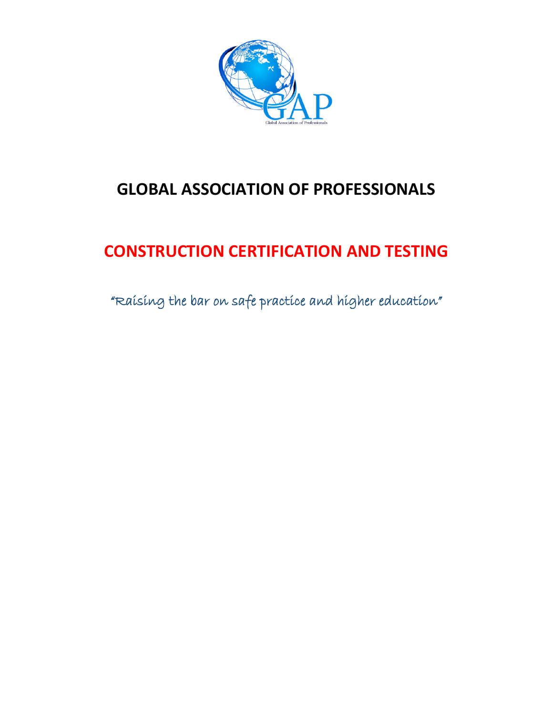

## **GLOBAL ASSOCIATION OF PROFESSIONALS**

# **CONSTRUCTION CERTIFICATION AND TESTING**

"Raising the bar on safe practice and higher education"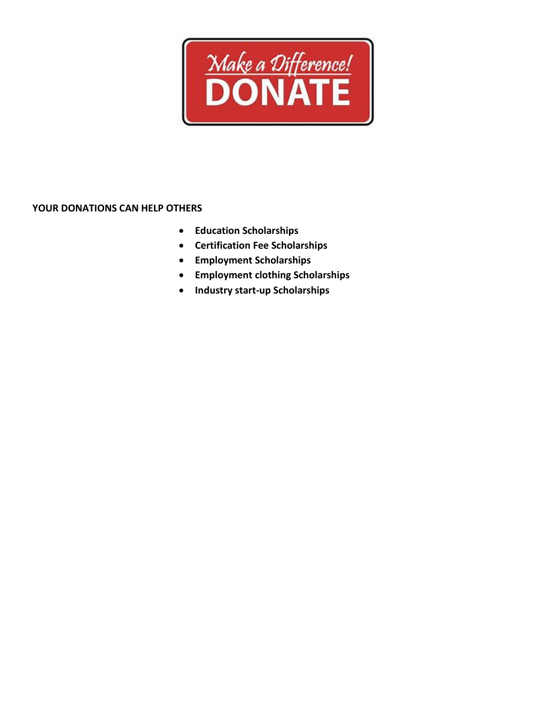

## **YOUR DONATIONS CAN HELP OTHERS**

- **Education Scholarships**
- **Certification Fee Scholarships**
- **Employment Scholarships**
- **Employment clothing Scholarships**
- **Industry start-up Scholarships**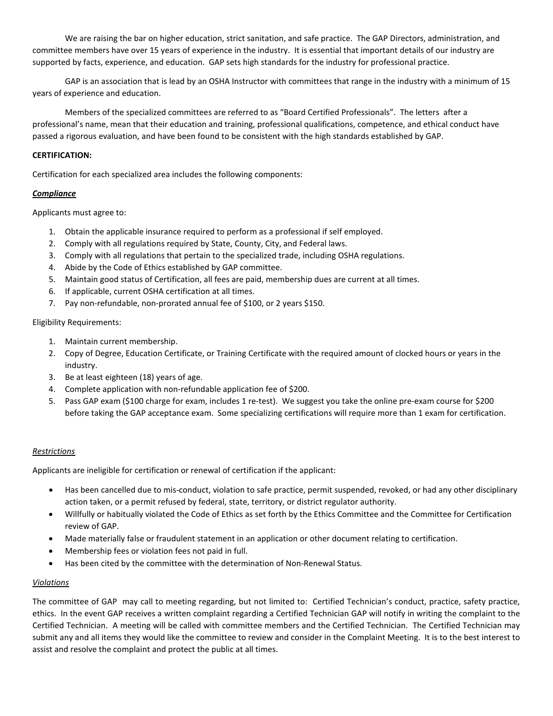We are raising the bar on higher education, strict sanitation, and safe practice. The GAP Directors, administration, and committee members have over 15 years of experience in the industry. It is essential that important details of our industry are supported by facts, experience, and education. GAP sets high standards for the industry for professional practice.

GAP is an association that is lead by an OSHA Instructor with committees that range in the industry with a minimum of 15 years of experience and education.

Members of the specialized committees are referred to as "Board Certified Professionals". The letters after a professional's name, mean that their education and training, professional qualifications, competence, and ethical conduct have passed a rigorous evaluation, and have been found to be consistent with the high standards established by GAP.

#### **CERTIFICATION:**

Certification for each specialized area includes the following components:

#### *Compliance*

Applicants must agree to:

- 1. Obtain the applicable insurance required to perform as a professional if self employed.
- 2. Comply with all regulations required by State, County, City, and Federal laws.
- 3. Comply with all regulations that pertain to the specialized trade, including OSHA regulations.
- 4. Abide by the Code of Ethics established by GAP committee.
- 5. Maintain good status of Certification, all fees are paid, membership dues are current at all times.
- 6. If applicable, current OSHA certification at all times.
- 7. Pay non-refundable, non-prorated annual fee of \$100, or 2 years \$150.

Eligibility Requirements:

- 1. Maintain current membership.
- 2. Copy of Degree, Education Certificate, or Training Certificate with the required amount of clocked hours or years in the industry.
- 3. Be at least eighteen (18) years of age.
- 4. Complete application with non-refundable application fee of \$200.
- 5. Pass GAP exam (\$100 charge for exam, includes 1 re-test). We suggest you take the online pre-exam course for \$200 before taking the GAP acceptance exam. Some specializing certifications will require more than 1 exam for certification.

#### *Restrictions*

Applicants are ineligible for certification or renewal of certification if the applicant:

- Has been cancelled due to mis-conduct, violation to safe practice, permit suspended, revoked, or had any other disciplinary action taken, or a permit refused by federal, state, territory, or district regulator authority.
- Willfully or habitually violated the Code of Ethics as set forth by the Ethics Committee and the Committee for Certification review of GAP.
- Made materially false or fraudulent statement in an application or other document relating to certification.
- Membership fees or violation fees not paid in full.
- Has been cited by the committee with the determination of Non-Renewal Status.

#### *Violations*

The committee of GAP may call to meeting regarding, but not limited to: Certified Technician's conduct, practice, safety practice, ethics. In the event GAP receives a written complaint regarding a Certified Technician GAP will notify in writing the complaint to the Certified Technician. A meeting will be called with committee members and the Certified Technician. The Certified Technician may submit any and all items they would like the committee to review and consider in the Complaint Meeting. It is to the best interest to assist and resolve the complaint and protect the public at all times.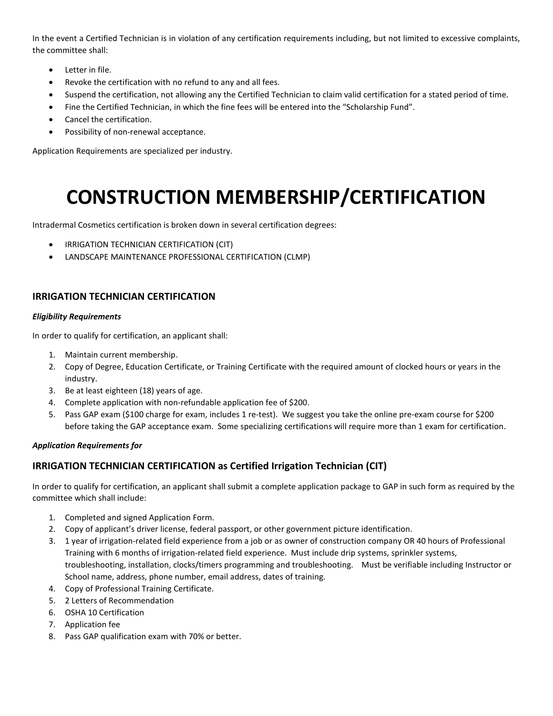In the event a Certified Technician is in violation of any certification requirements including, but not limited to excessive complaints, the committee shall:

- Letter in file.
- Revoke the certification with no refund to any and all fees.
- Suspend the certification, not allowing any the Certified Technician to claim valid certification for a stated period of time.
- Fine the Certified Technician, in which the fine fees will be entered into the "Scholarship Fund".
- Cancel the certification.
- Possibility of non-renewal acceptance.

Application Requirements are specialized per industry.

# **CONSTRUCTION MEMBERSHIP/CERTIFICATION**

Intradermal Cosmetics certification is broken down in several certification degrees:

- IRRIGATION TECHNICIAN CERTIFICATION (CIT)
- LANDSCAPE MAINTENANCE PROFESSIONAL CERTIFICATION (CLMP)

#### **IRRIGATION TECHNICIAN CERTIFICATION**

#### *Eligibility Requirements*

In order to qualify for certification, an applicant shall:

- 1. Maintain current membership.
- 2. Copy of Degree, Education Certificate, or Training Certificate with the required amount of clocked hours or years in the industry.
- 3. Be at least eighteen (18) years of age.
- 4. Complete application with non-refundable application fee of \$200.
- 5. Pass GAP exam (\$100 charge for exam, includes 1 re-test). We suggest you take the online pre-exam course for \$200 before taking the GAP acceptance exam. Some specializing certifications will require more than 1 exam for certification.

#### *Application Requirements for*

### **IRRIGATION TECHNICIAN CERTIFICATION as Certified Irrigation Technician (CIT)**

In order to qualify for certification, an applicant shall submit a complete application package to GAP in such form as required by the committee which shall include:

- 1. Completed and signed Application Form.
- 2. Copy of applicant's driver license, federal passport, or other government picture identification.
- 3. 1 year of irrigation-related field experience from a job or as owner of construction company OR 40 hours of Professional Training with 6 months of irrigation-related field experience. Must include drip systems, sprinkler systems, troubleshooting, installation, clocks/timers programming and troubleshooting. Must be verifiable including Instructor or School name, address, phone number, email address, dates of training.
- 4. Copy of Professional Training Certificate.
- 5. 2 Letters of Recommendation
- 6. OSHA 10 Certification
- 7. Application fee
- 8. Pass GAP qualification exam with 70% or better.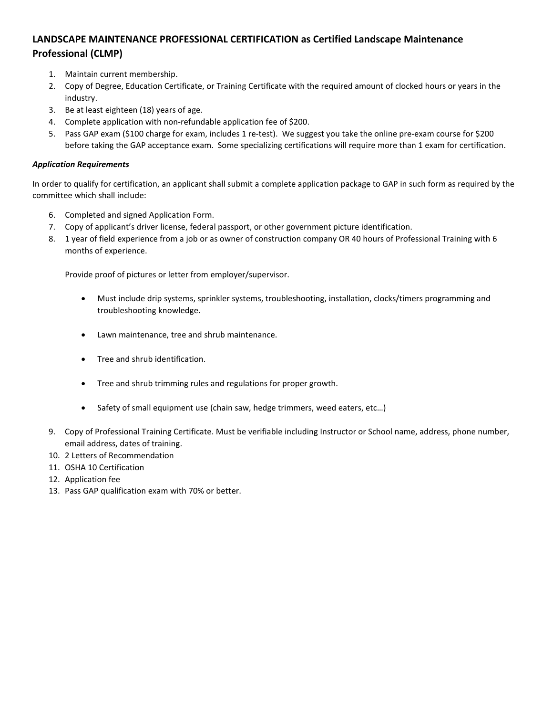## **LANDSCAPE MAINTENANCE PROFESSIONAL CERTIFICATION as Certified Landscape Maintenance Professional (CLMP)**

- 1. Maintain current membership.
- 2. Copy of Degree, Education Certificate, or Training Certificate with the required amount of clocked hours or years in the industry.
- 3. Be at least eighteen (18) years of age.
- 4. Complete application with non-refundable application fee of \$200.
- 5. Pass GAP exam (\$100 charge for exam, includes 1 re-test). We suggest you take the online pre-exam course for \$200 before taking the GAP acceptance exam. Some specializing certifications will require more than 1 exam for certification.

#### *Application Requirements*

In order to qualify for certification, an applicant shall submit a complete application package to GAP in such form as required by the committee which shall include:

- 6. Completed and signed Application Form.
- 7. Copy of applicant's driver license, federal passport, or other government picture identification.
- 8. 1 year of field experience from a job or as owner of construction company OR 40 hours of Professional Training with 6 months of experience.

Provide proof of pictures or letter from employer/supervisor.

- Must include drip systems, sprinkler systems, troubleshooting, installation, clocks/timers programming and troubleshooting knowledge.
- Lawn maintenance, tree and shrub maintenance.
- Tree and shrub identification.
- Tree and shrub trimming rules and regulations for proper growth.
- Safety of small equipment use (chain saw, hedge trimmers, weed eaters, etc…)
- 9. Copy of Professional Training Certificate. Must be verifiable including Instructor or School name, address, phone number, email address, dates of training.
- 10. 2 Letters of Recommendation
- 11. OSHA 10 Certification
- 12. Application fee
- 13. Pass GAP qualification exam with 70% or better.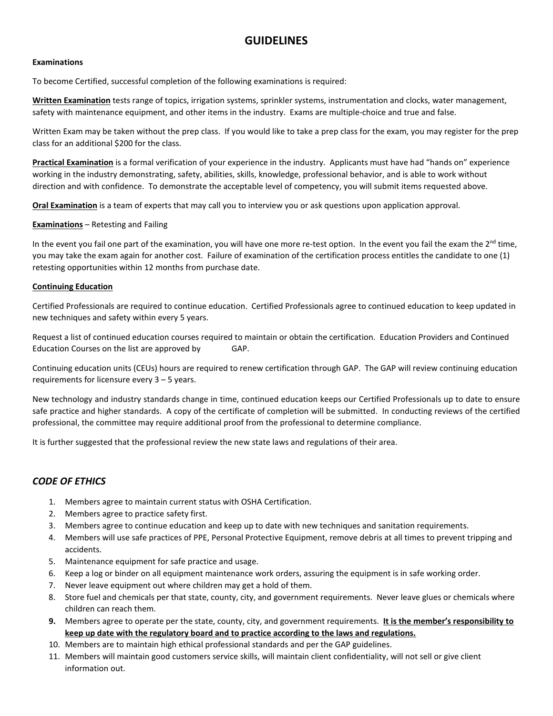## **GUIDELINES**

#### **Examinations**

To become Certified, successful completion of the following examinations is required:

**Written Examination** tests range of topics, irrigation systems, sprinkler systems, instrumentation and clocks, water management, safety with maintenance equipment, and other items in the industry. Exams are multiple-choice and true and false.

Written Exam may be taken without the prep class. If you would like to take a prep class for the exam, you may register for the prep class for an additional \$200 for the class.

**Practical Examination** is a formal verification of your experience in the industry. Applicants must have had "hands on" experience working in the industry demonstrating, safety, abilities, skills, knowledge, professional behavior, and is able to work without direction and with confidence. To demonstrate the acceptable level of competency, you will submit items requested above.

**Oral Examination** is a team of experts that may call you to interview you or ask questions upon application approval.

#### **Examinations** – Retesting and Failing

In the event you fail one part of the examination, you will have one more re-test option. In the event you fail the exam the 2<sup>nd</sup> time, you may take the exam again for another cost. Failure of examination of the certification process entitles the candidate to one (1) retesting opportunities within 12 months from purchase date.

#### **Continuing Education**

Certified Professionals are required to continue education. Certified Professionals agree to continued education to keep updated in new techniques and safety within every 5 years.

Request a list of continued education courses required to maintain or obtain the certification. Education Providers and Continued Education Courses on the list are approved by GAP.

Continuing education units (CEUs) hours are required to renew certification through GAP. The GAP will review continuing education requirements for licensure every 3 – 5 years.

New technology and industry standards change in time, continued education keeps our Certified Professionals up to date to ensure safe practice and higher standards. A copy of the certificate of completion will be submitted. In conducting reviews of the certified professional, the committee may require additional proof from the professional to determine compliance.

It is further suggested that the professional review the new state laws and regulations of their area.

#### *CODE OF ETHICS*

- 1. Members agree to maintain current status with OSHA Certification.
- 2. Members agree to practice safety first.
- 3. Members agree to continue education and keep up to date with new techniques and sanitation requirements.
- 4. Members will use safe practices of PPE, Personal Protective Equipment, remove debris at all times to prevent tripping and accidents.
- 5. Maintenance equipment for safe practice and usage.
- 6. Keep a log or binder on all equipment maintenance work orders, assuring the equipment is in safe working order.
- 7. Never leave equipment out where children may get a hold of them.
- 8. Store fuel and chemicals per that state, county, city, and government requirements. Never leave glues or chemicals where children can reach them.
- **9.** Members agree to operate per the state, county, city, and government requirements. **It is the member's responsibility to keep up date with the regulatory board and to practice according to the laws and regulations.**
- 10. Members are to maintain high ethical professional standards and per the GAP guidelines.
- 11. Members will maintain good customers service skills, will maintain client confidentiality, will not sell or give client information out.